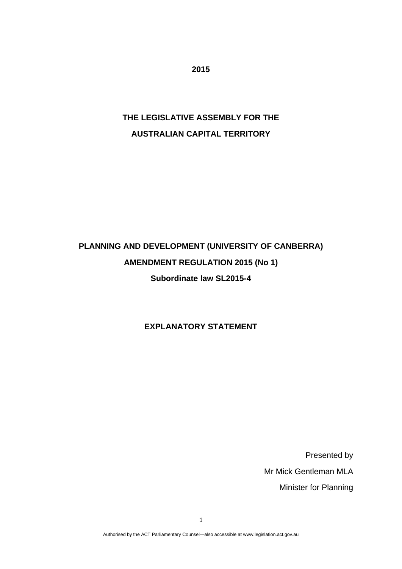**2015** 

## **THE LEGISLATIVE ASSEMBLY FOR THE AUSTRALIAN CAPITAL TERRITORY**

# **PLANNING AND DEVELOPMENT (UNIVERSITY OF CANBERRA) AMENDMENT REGULATION 2015 (No 1) Subordinate law SL2015-4**

**EXPLANATORY STATEMENT** 

Presented by Mr Mick Gentleman MLA Minister for Planning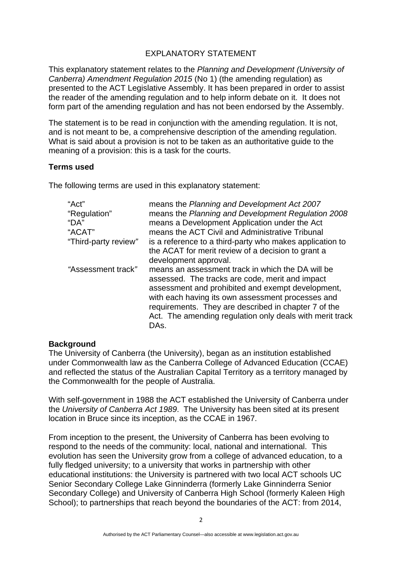#### EXPLANATORY STATEMENT

This explanatory statement relates to the *Planning and Development (University of Canberra) Amendment Regulation 2015* (No 1) (the amending regulation) as presented to the ACT Legislative Assembly. It has been prepared in order to assist the reader of the amending regulation and to help inform debate on it. It does not form part of the amending regulation and has not been endorsed by the Assembly.

The statement is to be read in conjunction with the amending regulation. It is not, and is not meant to be, a comprehensive description of the amending regulation. What is said about a provision is not to be taken as an authoritative guide to the meaning of a provision: this is a task for the courts.

#### **Terms used**

The following terms are used in this explanatory statement:

| "Act"                | means the Planning and Development Act 2007                                                                                                                                                                                                                                                                                                |
|----------------------|--------------------------------------------------------------------------------------------------------------------------------------------------------------------------------------------------------------------------------------------------------------------------------------------------------------------------------------------|
| "Regulation"         | means the Planning and Development Regulation 2008                                                                                                                                                                                                                                                                                         |
| "DA"                 | means a Development Application under the Act                                                                                                                                                                                                                                                                                              |
| "ACAT"               | means the ACT Civil and Administrative Tribunal                                                                                                                                                                                                                                                                                            |
| "Third-party review" | is a reference to a third-party who makes application to                                                                                                                                                                                                                                                                                   |
|                      | the ACAT for merit review of a decision to grant a                                                                                                                                                                                                                                                                                         |
|                      | development approval.                                                                                                                                                                                                                                                                                                                      |
| "Assessment track"   | means an assessment track in which the DA will be<br>assessed. The tracks are code, merit and impact<br>assessment and prohibited and exempt development,<br>with each having its own assessment processes and<br>requirements. They are described in chapter 7 of the<br>Act. The amending regulation only deals with merit track<br>DAs. |

#### **Background**

The University of Canberra (the University), began as an institution established under Commonwealth law as the Canberra College of Advanced Education (CCAE) and reflected the status of the Australian Capital Territory as a territory managed by the Commonwealth for the people of Australia.

With self-government in 1988 the ACT established the University of Canberra under the *University of Canberra Act 1989*. The University has been sited at its present location in Bruce since its inception, as the CCAE in 1967.

From inception to the present, the University of Canberra has been evolving to respond to the needs of the community: local, national and international. This evolution has seen the University grow from a college of advanced education, to a fully fledged university; to a university that works in partnership with other educational institutions: the University is partnered with two local ACT schools [UC](http://en.wikipedia.org/wiki/UC_Senior_Secondary_College_Lake_Ginninderra)  [Senior Secondary College Lake Ginninderra](http://en.wikipedia.org/wiki/UC_Senior_Secondary_College_Lake_Ginninderra) (formerly Lake Ginninderra Senior Secondary College) and University of Canberra High School (formerly Kaleen High School); to partnerships that reach beyond the boundaries of the ACT: from 2014,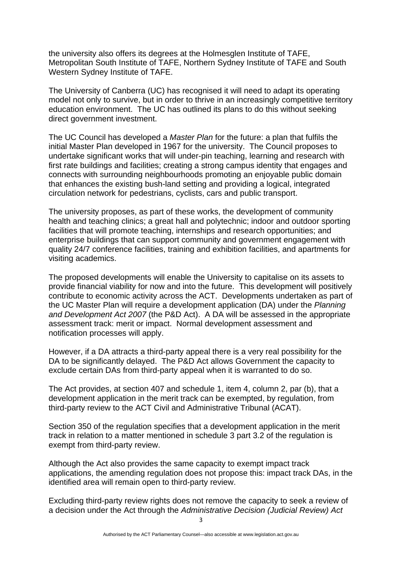the university also offers its degrees at the [Holmesglen Institute of TAFE](http://en.wikipedia.org/wiki/Holmesglen_Institute_of_TAFE), [Metropolitan South Institute of TAFE](http://en.wikipedia.org/wiki/Metropolitan_South_Institute_of_TAFE), [Northern Sydney Institute of TAFE](http://en.wikipedia.org/wiki/Northern_Sydney_Institute_of_TAFE) and [South](http://en.wikipedia.org/wiki/South_Western_Sydney_Institute_of_TAFE)  [Western Sydney Institute of TAFE.](http://en.wikipedia.org/wiki/South_Western_Sydney_Institute_of_TAFE)

The University of Canberra (UC) has recognised it will need to adapt its operating model not only to survive, but in order to thrive in an increasingly competitive territory education environment. The UC has outlined its plans to do this without seeking direct government investment.

The UC Council has developed a *Master Plan* for the future: a plan that fulfils the initial Master Plan developed in 1967 for the university. The Council proposes to undertake significant works that will under-pin teaching, learning and research with first rate buildings and facilities; creating a strong campus identity that engages and connects with surrounding neighbourhoods promoting an enjoyable public domain that enhances the existing bush-land setting and providing a logical, integrated circulation network for pedestrians, cyclists, cars and public transport.

The university proposes, as part of these works, the development of community health and teaching clinics; a great hall and polytechnic; indoor and outdoor sporting facilities that will promote teaching, internships and research opportunities; and enterprise buildings that can support community and government engagement with quality 24/7 conference facilities, training and exhibition facilities, and apartments for visiting academics.

The proposed developments will enable the University to capitalise on its assets to provide financial viability for now and into the future. This development will positively contribute to economic activity across the ACT. Developments undertaken as part of the UC Master Plan will require a development application (DA) under the *Planning and Development Act 2007* (the P&D Act). A DA will be assessed in the appropriate assessment track: merit or impact. Normal development assessment and notification processes will apply.

However, if a DA attracts a third-party appeal there is a very real possibility for the DA to be significantly delayed. The P&D Act allows Government the capacity to exclude certain DAs from third-party appeal when it is warranted to do so.

The Act provides, at section 407 and schedule 1, item 4, column 2, par (b), that a development application in the merit track can be exempted, by regulation, from third-party review to the ACT Civil and Administrative Tribunal (ACAT).

Section 350 of the regulation specifies that a development application in the merit track in relation to a matter mentioned in schedule 3 part 3.2 of the regulation is exempt from third-party review.

Although the Act also provides the same capacity to exempt impact track applications, the amending regulation does not propose this: impact track DAs, in the identified area will remain open to third-party review.

Excluding third-party review rights does not remove the capacity to seek a review of a decision under the Act through the *Administrative Decision (Judicial Review) Act*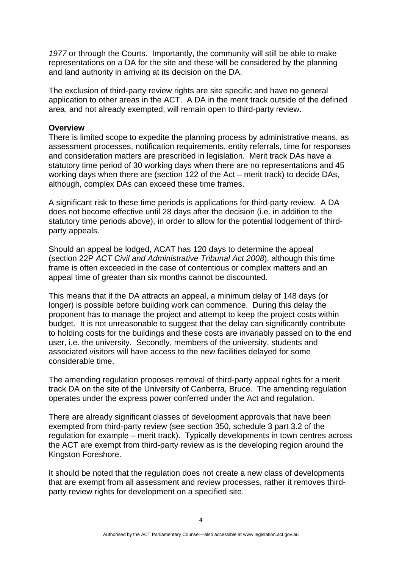*1977* or through the Courts. Importantly, the community will still be able to make representations on a DA for the site and these will be considered by the planning and land authority in arriving at its decision on the DA.

The exclusion of third-party review rights are site specific and have no general application to other areas in the ACT. A DA in the merit track outside of the defined area, and not already exempted, will remain open to third-party review.

#### **Overview**

There is limited scope to expedite the planning process by administrative means, as assessment processes, notification requirements, entity referrals, time for responses and consideration matters are prescribed in legislation. Merit track DAs have a statutory time period of 30 working days when there are no representations and 45 working days when there are (section 122 of the Act – merit track) to decide DAs, although, complex DAs can exceed these time frames.

A significant risk to these time periods is applications for third-party review. A DA does not become effective until 28 days after the decision (i.e. in addition to the statutory time periods above), in order to allow for the potential lodgement of thirdparty appeals.

Should an appeal be lodged, ACAT has 120 days to determine the appeal (section 22P *ACT Civil and Administrative Tribunal Act 2008*), although this time frame is often exceeded in the case of contentious or complex matters and an appeal time of greater than six months cannot be discounted.

This means that if the DA attracts an appeal, a minimum delay of 148 days (or longer) is possible before building work can commence. During this delay the proponent has to manage the project and attempt to keep the project costs within budget. It is not unreasonable to suggest that the delay can significantly contribute to holding costs for the buildings and these costs are invariably passed on to the end user, i.e. the university. Secondly, members of the university, students and associated visitors will have access to the new facilities delayed for some considerable time.

The amending regulation proposes removal of third-party appeal rights for a merit track DA on the site of the University of Canberra, Bruce. The amending regulation operates under the express power conferred under the Act and regulation.

There are already significant classes of development approvals that have been exempted from third-party review (see section 350, schedule 3 part 3.2 of the regulation for example – merit track). Typically developments in town centres across the ACT are exempt from third-party review as is the developing region around the Kingston Foreshore.

It should be noted that the regulation does not create a new class of developments that are exempt from all assessment and review processes, rather it removes thirdparty review rights for development on a specified site.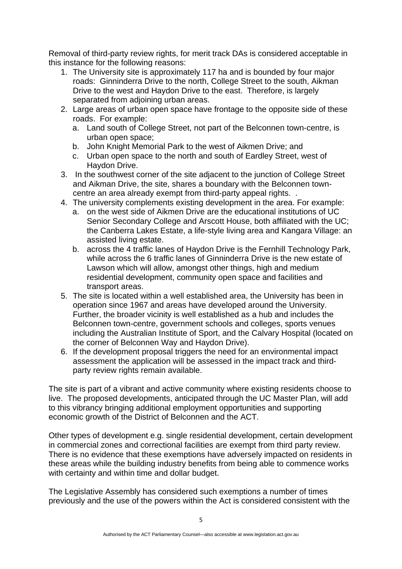Removal of third-party review rights, for merit track DAs is considered acceptable in this instance for the following reasons:

- 1. The University site is approximately 117 ha and is bounded by four major roads: Ginninderra Drive to the north, College Street to the south, Aikman Drive to the west and Haydon Drive to the east. Therefore, is largely separated from adjoining urban areas.
- 2. Large areas of urban open space have frontage to the opposite side of these roads. For example:
	- a. Land south of College Street, not part of the Belconnen town-centre, is urban open space;
	- b. John Knight Memorial Park to the west of Aikmen Drive; and
	- c. Urban open space to the north and south of Eardley Street, west of Haydon Drive.
- 3. In the southwest corner of the site adjacent to the junction of College Street and Aikman Drive, the site, shares a boundary with the Belconnen towncentre an area already exempt from third-party appeal rights. .
- 4. The university complements existing development in the area. For example:
	- a. on the west side of Aikmen Drive are the educational institutions of UC Senior Secondary College and Arscott House, both affiliated with the UC; the Canberra Lakes Estate, a life-style living area and Kangara Village: an assisted living estate.
	- b. across the 4 traffic lanes of Haydon Drive is the Fernhill Technology Park, while across the 6 traffic lanes of Ginninderra Drive is the new estate of Lawson which will allow, amongst other things, high and medium residential development, community open space and facilities and transport areas.
- 5. The site is located within a well established area, the University has been in operation since 1967 and areas have developed around the University. Further, the broader vicinity is well established as a hub and includes the Belconnen town-centre, government schools and colleges, sports venues including the Australian Institute of Sport, and the Calvary Hospital (located on the corner of Belconnen Way and Haydon Drive).
- 6. If the development proposal triggers the need for an environmental impact assessment the application will be assessed in the impact track and thirdparty review rights remain available.

The site is part of a vibrant and active community where existing residents choose to live. The proposed developments, anticipated through the UC Master Plan, will add to this vibrancy bringing additional employment opportunities and supporting economic growth of the District of Belconnen and the ACT.

Other types of development e.g. single residential development, certain development in commercial zones and correctional facilities are exempt from third party review. There is no evidence that these exemptions have adversely impacted on residents in these areas while the building industry benefits from being able to commence works with certainty and within time and dollar budget.

The Legislative Assembly has considered such exemptions a number of times previously and the use of the powers within the Act is considered consistent with the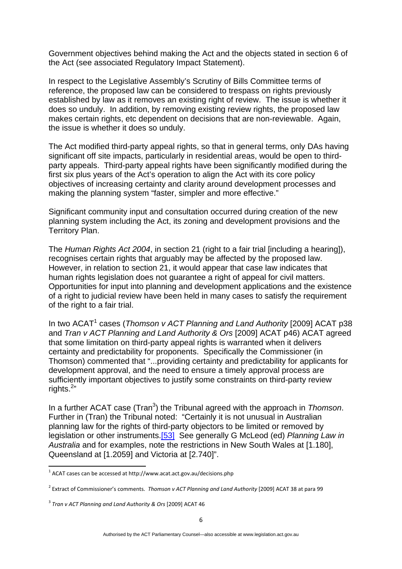Government objectives behind making the Act and the objects stated in section 6 of the Act (see associated Regulatory Impact Statement).

In respect to the Legislative Assembly's Scrutiny of Bills Committee terms of reference, the proposed law can be considered to trespass on rights previously established by law as it removes an existing right of review. The issue is whether it does so unduly. In addition, by removing existing review rights, the proposed law makes certain rights, etc dependent on decisions that are non-reviewable. Again, the issue is whether it does so unduly.

The Act modified third-party appeal rights, so that in general terms, only DAs having significant off site impacts, particularly in residential areas, would be open to thirdparty appeals. Third-party appeal rights have been significantly modified during the first six plus years of the Act's operation to align the Act with its core policy objectives of increasing certainty and clarity around development processes and making the planning system "faster, simpler and more effective."

Significant community input and consultation occurred during creation of the new planning system including the Act, its zoning and development provisions and the Territory Plan.

The *Human Rights Act 2004*, in section 21 (right to a fair trial [including a hearing]), recognises certain rights that arguably may be affected by the proposed law. However, in relation to section 21, it would appear that case law indicates that human rights legislation does not guarantee a right of appeal for civil matters. Opportunities for input into planning and development applications and the existence of a right to judicial review have been held in many cases to satisfy the requirement of the right to a fair trial.

In two ACAT<sup>1</sup> cases (*Thomson v ACT Planning and Land Authority* [2009] ACAT p38 and *Tran v ACT Planning and Land Authority & Ors* [2009] ACAT p46) ACAT agreed that some limitation on third-party appeal rights is warranted when it delivers certainty and predictability for proponents. Specifically the Commissioner (in Thomson) commented that "...providing certainty and predictability for applicants for development approval, and the need to ensure a timely approval process are sufficiently important objectives to justify some constraints on third-party review rights.<sup>2</sup>"

In a further ACAT case (Tran<sup>3</sup>) the Tribunal agreed with the approach in *Thomson*. Further in (Tran) the Tribunal noted: "Certainly it is not unusual in Australian planning law for the rights of third-party objectors to be limited or removed by legislation or other instruments.[\[53\]](http://www.acat.act.gov.au/decisions.php?action=decision&id=63#_ftn53) See generally G McLeod (ed) *Planning Law in Australia* and for examples, note the restrictions in New South Wales at [1.180], Queensland at [1.2059] and Victoria at [2.740]".

 $1$  ACAT cases can be accessed at http://www.acat.act.gov.au/decisions.php

<sup>2</sup> Extract of Commissioner's comments. *Thomson v ACT Planning and Land Authority* [2009] ACAT 38 at para 99

<sup>3</sup> *Tran v ACT Planning and Land Authority & Ors* [2009] ACAT 46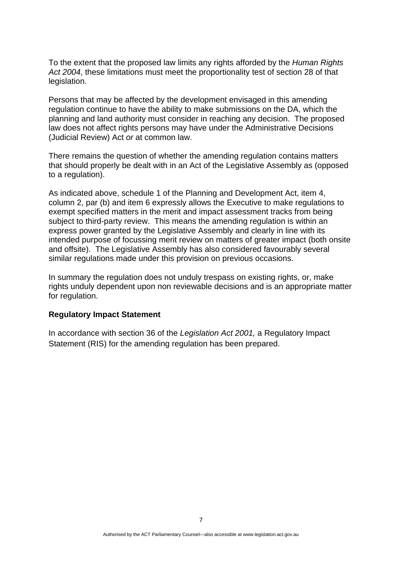To the extent that the proposed law limits any rights afforded by the *Human Rights Act 2004*, these limitations must meet the proportionality test of section 28 of that legislation.

Persons that may be affected by the development envisaged in this amending regulation continue to have the ability to make submissions on the DA, which the planning and land authority must consider in reaching any decision. The proposed law does not affect rights persons may have under the Administrative Decisions (Judicial Review) Act *or* at common law.

There remains the question of whether the amending regulation contains matters that should properly be dealt with in an Act of the Legislative Assembly as (opposed to a regulation).

As indicated above, schedule 1 of the Planning and Development Act, item 4, column 2, par (b) and item 6 expressly allows the Executive to make regulations to exempt specified matters in the merit and impact assessment tracks from being subject to third-party review. This means the amending regulation is within an express power granted by the Legislative Assembly and clearly in line with its intended purpose of focussing merit review on matters of greater impact (both onsite and offsite). The Legislative Assembly has also considered favourably several similar regulations made under this provision on previous occasions.

In summary the regulation does not unduly trespass on existing rights, or, make rights unduly dependent upon non reviewable decisions and is an appropriate matter for regulation.

#### **Regulatory Impact Statement**

In accordance with section 36 of the *Legislation Act 2001,* a Regulatory Impact Statement (RIS) for the amending regulation has been prepared.